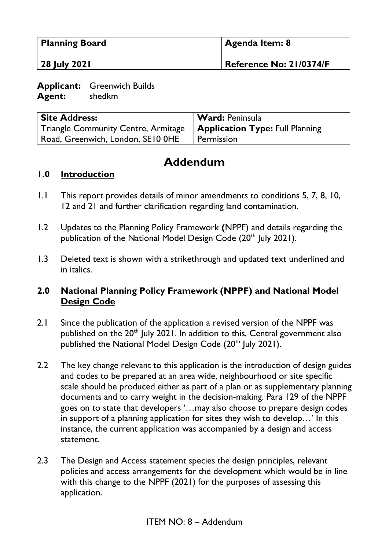| <b>Planning Board</b> | Agenda Item: 8          |
|-----------------------|-------------------------|
| 28 July 2021          | Reference No: 21/0374/F |

**Applicant:** Greenwich Builds **Agent:** shedkm

| <b>Site Address:</b>                | <b>Ward: Peninsula</b>                 |
|-------------------------------------|----------------------------------------|
| Triangle Community Centre, Armitage | <b>Application Type: Full Planning</b> |
| Road, Greenwich, London, SE10 OHE   | I Permission                           |

# **Addendum**

#### **1.0 Introduction**

- 1.1 This report provides details of minor amendments to conditions 5, 7, 8, 10, 12 and 21 and further clarification regarding land contamination.
- 1.2 Updates to the Planning Policy Framework **(**NPPF) and details regarding the publication of the National Model Design Code  $(20<sup>th</sup>$  July 2021).
- 1.3 Deleted text is shown with a strikethrough and updated text underlined and in italics.

## **2.0 National Planning Policy Framework (NPPF) and National Model Design Code**

- 2.1 Since the publication of the application a revised version of the NPPF was published on the 20<sup>th</sup> July 2021. In addition to this, Central government also published the National Model Design Code (20<sup>th</sup> July 2021).
- 2.2 The key change relevant to this application is the introduction of design guides and codes to be prepared at an area wide, neighbourhood or site specific scale should be produced either as part of a plan or as supplementary planning documents and to carry weight in the decision-making. Para 129 of the NPPF goes on to state that developers '…may also choose to prepare design codes in support of a planning application for sites they wish to develop…' In this instance, the current application was accompanied by a design and access statement.
- 2.3 The Design and Access statement species the design principles, relevant policies and access arrangements for the development which would be in line with this change to the NPPF (2021) for the purposes of assessing this application.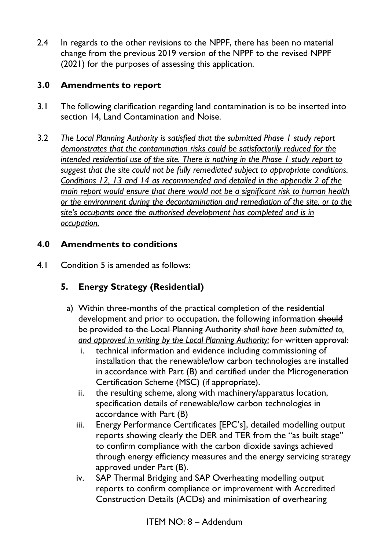2.4 In regards to the other revisions to the NPPF, there has been no material change from the previous 2019 version of the NPPF to the revised NPPF (2021) for the purposes of assessing this application.

# **3.0 Amendments to report**

- 3.1 The following clarification regarding land contamination is to be inserted into section 14, Land Contamination and Noise.
- 3.2 *The Local Planning Authority is satisfied that the submitted Phase 1 study report demonstrates that the contamination risks could be satisfactorily reduced for the intended residential use of the site. There is nothing in the Phase 1 study report to suggest that the site could not be fully remediated subject to appropriate conditions. Conditions 12, 13 and 14 as recommended and detailed in the appendix 2 of the main report would ensure that there would not be a significant risk to human health or the environment during the decontamination and remediation of the site, or to the site's occupants once the authorised development has completed and is in occupation.*

# **4.0 Amendments to conditions**

4.1 Condition 5 is amended as follows:

# **5. Energy Strategy (Residential)**

- a) Within three-months of the practical completion of the residential development and prior to occupation, the following information should be provided to the Local Planning Authority *shall have been submitted to, and approved in writing by the Local Planning Authority:* for written approval:
	- i. technical information and evidence including commissioning of installation that the renewable/low carbon technologies are installed in accordance with Part (B) and certified under the Microgeneration Certification Scheme (MSC) (if appropriate).
	- ii. the resulting scheme, along with machinery/apparatus location, specification details of renewable/low carbon technologies in accordance with Part (B)
	- iii. Energy Performance Certificates [EPC's], detailed modelling output reports showing clearly the DER and TER from the "as built stage" to confirm compliance with the carbon dioxide savings achieved through energy efficiency measures and the energy servicing strategy approved under Part (B).
	- iv. SAP Thermal Bridging and SAP Overheating modelling output reports to confirm compliance or improvement with Accredited Construction Details (ACDs) and minimisation of overhearing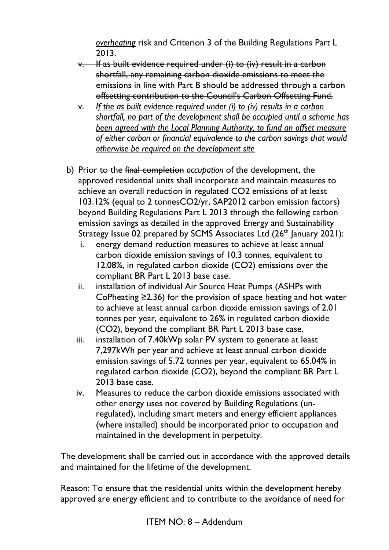*overheating* risk and Criterion 3 of the Building Regulations Part L 2013.

- v. If as built evidence required under (i) to (iv) result in a carbon shortfall, any remaining carbon dioxide emissions to meet the emissions in line with Part B should be addressed through a carbon offsetting contribution to the Council's Carbon Offsetting Fund.
- v. *If the as built evidence required under (i) to (iv) results in a carbon shortfall, no part of the development shall be occupied until a scheme has been agreed with the Local Planning Authority, to fund an offset measure of either carbon or financial equivalence to the carbon savings that would otherwise be required on the development site*
- b) Prior to the final completion *occupation* of the development, the approved residential units shall incorporate and maintain measures to achieve an overall reduction in regulated CO2 emissions of at least 103.12% (equal to 2 tonnesCO2/yr, SAP2012 carbon emission factors) beyond Building Regulations Part L 2013 through the following carbon emission savings as detailed in the approved Energy and Sustainability Strategy Issue 02 prepared by SCMS Associates Ltd (26<sup>th</sup> January 2021):
	- i. energy demand reduction measures to achieve at least annual carbon dioxide emission savings of 10.3 tonnes, equivalent to 12.08%, in regulated carbon dioxide (CO2) emissions over the compliant BR Part L 2013 base case.
	- ii. installation of individual Air Source Heat Pumps (ASHPs with CoPheating ≥2.36) for the provision of space heating and hot water to achieve at least annual carbon dioxide emission savings of 2.01 tonnes per year, equivalent to 26% in regulated carbon dioxide (CO2), beyond the compliant BR Part L 2013 base case.
	- iii. installation of 7.40kWp solar PV system to generate at least 7,297kWh per year and achieve at least annual carbon dioxide emission savings of 5.72 tonnes per year, equivalent to 65.04% in regulated carbon dioxide (CO2), beyond the compliant BR Part L 2013 base case.
	- iv. Measures to reduce the carbon dioxide emissions associated with other energy uses not covered by Building Regulations (unregulated), including smart meters and energy efficient appliances (where installed) should be incorporated prior to occupation and maintained in the development in perpetuity.

The development shall be carried out in accordance with the approved details and maintained for the lifetime of the development.

Reason: To ensure that the residential units within the development hereby approved are energy efficient and to contribute to the avoidance of need for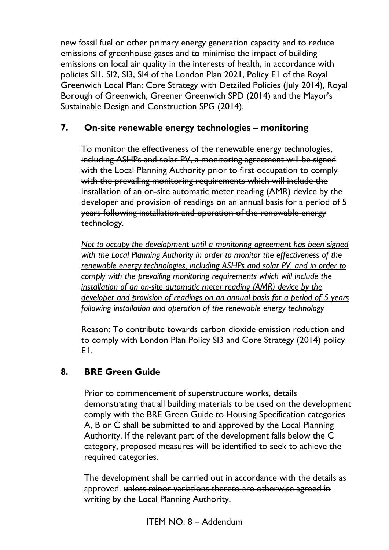new fossil fuel or other primary energy generation capacity and to reduce emissions of greenhouse gases and to minimise the impact of building emissions on local air quality in the interests of health, in accordance with policies SI1, SI2, SI3, SI4 of the London Plan 2021, Policy E1 of the Royal Greenwich Local Plan: Core Strategy with Detailed Policies (July 2014), Royal Borough of Greenwich, Greener Greenwich SPD (2014) and the Mayor's Sustainable Design and Construction SPG (2014).

## **7. On-site renewable energy technologies – monitoring**

To monitor the effectiveness of the renewable energy technologies, including ASHPs and solar PV, a monitoring agreement will be signed with the Local Planning Authority prior to first occupation to comply with the prevailing monitoring requirements which will include the installation of an on-site automatic meter reading (AMR) device by the developer and provision of readings on an annual basis for a period of 5 years following installation and operation of the renewable energy technology.

*Not to occupy the development until a monitoring agreement has been signed with the Local Planning Authority in order to monitor the effectiveness of the renewable energy technologies, including ASHPs and solar PV, and in order to comply with the prevailing monitoring requirements which will include the installation of an on-site automatic meter reading (AMR) device by the developer and provision of readings on an annual basis for a period of 5 years following installation and operation of the renewable energy technology*

Reason: To contribute towards carbon dioxide emission reduction and to comply with London Plan Policy SI3 and Core Strategy (2014) policy E1.

## **8. BRE Green Guide**

Prior to commencement of superstructure works, details demonstrating that all building materials to be used on the development comply with the BRE Green Guide to Housing Specification categories A, B or C shall be submitted to and approved by the Local Planning Authority. If the relevant part of the development falls below the C category, proposed measures will be identified to seek to achieve the required categories.

The development shall be carried out in accordance with the details as approved. unless minor variations thereto are otherwise agreed in writing by the Local Planning Authority.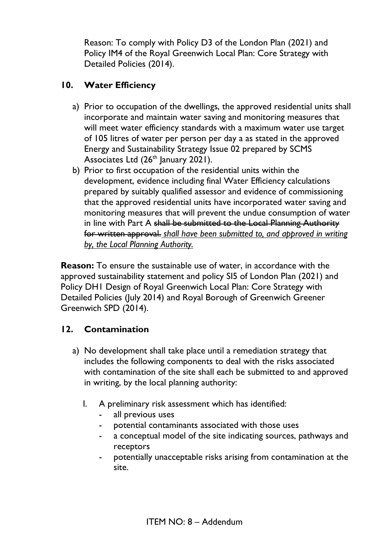Reason: To comply with Policy D3 of the London Plan (2021) and Policy IM4 of the Royal Greenwich Local Plan: Core Strategy with Detailed Policies (2014).

## **10. Water Efficiency**

- a) Prior to occupation of the dwellings, the approved residential units shall incorporate and maintain water saving and monitoring measures that will meet water efficiency standards with a maximum water use target of 105 litres of water per person per day a as stated in the approved Energy and Sustainability Strategy Issue 02 prepared by SCMS Associates Ltd  $(26<sup>th</sup>$  January 2021).
- b) Prior to first occupation of the residential units within the development, evidence including final Water Efficiency calculations prepared by suitably qualified assessor and evidence of commissioning that the approved residential units have incorporated water saving and monitoring measures that will prevent the undue consumption of water in line with Part A shall be submitted to the Local Planning Authority for written approval. *shall have been submitted to, and approved in writing by, the Local Planning Authority.*

**Reason:** To ensure the sustainable use of water, in accordance with the approved sustainability statement and policy SI5 of London Plan (2021) and Policy DH1 Design of Royal Greenwich Local Plan: Core Strategy with Detailed Policies (July 2014) and Royal Borough of Greenwich Greener Greenwich SPD (2014).

## **12. Contamination**

- a) No development shall take place until a remediation strategy that includes the following components to deal with the risks associated with contamination of the site shall each be submitted to and approved in writing, by the local planning authority:
	- I. A preliminary risk assessment which has identified:
		- all previous uses
		- potential contaminants associated with those uses
		- a conceptual model of the site indicating sources, pathways and receptors
		- potentially unacceptable risks arising from contamination at the site.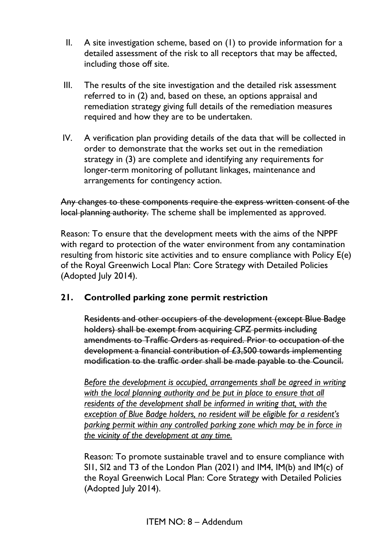- II. A site investigation scheme, based on (1) to provide information for a detailed assessment of the risk to all receptors that may be affected, including those off site.
- III. The results of the site investigation and the detailed risk assessment referred to in (2) and, based on these, an options appraisal and remediation strategy giving full details of the remediation measures required and how they are to be undertaken.
- IV. A verification plan providing details of the data that will be collected in order to demonstrate that the works set out in the remediation strategy in (3) are complete and identifying any requirements for longer-term monitoring of pollutant linkages, maintenance and arrangements for contingency action.

Any changes to these components require the express written consent of the local planning authority. The scheme shall be implemented as approved.

Reason: To ensure that the development meets with the aims of the NPPF with regard to protection of the water environment from any contamination resulting from historic site activities and to ensure compliance with Policy E(e) of the Royal Greenwich Local Plan: Core Strategy with Detailed Policies (Adopted July 2014).

## **21. Controlled parking zone permit restriction**

Residents and other occupiers of the development (except Blue Badge holders) shall be exempt from acquiring CPZ permits including amendments to Traffic Orders as required. Prior to occupation of the development a financial contribution of £3,500 towards implementing modification to the traffic order shall be made payable to the Council.

*Before the development is occupied, arrangements shall be agreed in writing with the local planning authority and be put in place to ensure that all residents of the development shall be informed in writing that, with the exception of Blue Badge holders, no resident will be eligible for a resident's parking permit within any controlled parking zone which may be in force in the vicinity of the development at any time.*

Reason: To promote sustainable travel and to ensure compliance with SI1, SI2 and T3 of the London Plan (2021) and IM4, IM(b) and IM(c) of the Royal Greenwich Local Plan: Core Strategy with Detailed Policies (Adopted July 2014).